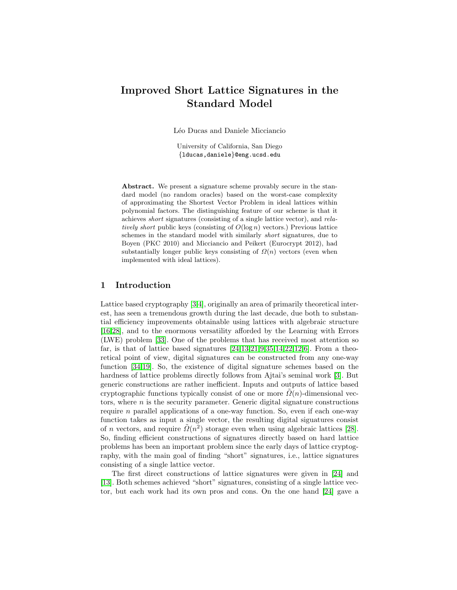# <span id="page-0-0"></span>Improved Short Lattice Signatures in the Standard Model

Léo Ducas and Daniele Micciancio

University of California, San Diego {lducas,daniele}@eng.ucsd.edu

Abstract. We present a signature scheme provably secure in the standard model (no random oracles) based on the worst-case complexity of approximating the Shortest Vector Problem in ideal lattices within polynomial factors. The distinguishing feature of our scheme is that it achieves short signatures (consisting of a single lattice vector), and relatively short public keys (consisting of  $O(\log n)$  vectors.) Previous lattice schemes in the standard model with similarly short signatures, due to Boyen (PKC 2010) and Micciancio and Peikert (Eurocrypt 2012), had substantially longer public keys consisting of  $\Omega(n)$  vectors (even when implemented with ideal lattices).

## 1 Introduction

Lattice based cryptography [\[3,](#page-14-0)[4\]](#page-14-1), originally an area of primarily theoretical interest, has seen a tremendous growth during the last decade, due both to substantial efficiency improvements obtainable using lattices with algebraic structure [\[16](#page-14-2)[,28\]](#page-15-0), and to the enormous versatility afforded by the Learning with Errors (LWE) problem [\[33\]](#page-15-1). One of the problems that has received most attention so far, is that of lattice based signatures  $[24,13,21,9,35,14,22,12,6]$  $[24,13,21,9,35,14,22,12,6]$  $[24,13,21,9,35,14,22,12,6]$  $[24,13,21,9,35,14,22,12,6]$  $[24,13,21,9,35,14,22,12,6]$  $[24,13,21,9,35,14,22,12,6]$  $[24,13,21,9,35,14,22,12,6]$  $[24,13,21,9,35,14,22,12,6]$  $[24,13,21,9,35,14,22,12,6]$ . From a theoretical point of view, digital signatures can be constructed from any one-way function [\[34,](#page-15-6)[19\]](#page-15-7). So, the existence of digital signature schemes based on the hardness of lattice problems directly follows from Ajtai's seminal work [\[3\]](#page-14-0). But generic constructions are rather inefficient. Inputs and outputs of lattice based cryptographic functions typically consist of one or more  $\Omega(n)$ -dimensional vectors, where  $n$  is the security parameter. Generic digital signature constructions require n parallel applications of a one-way function. So, even if each one-way function takes as input a single vector, the resulting digital siguatures consist of n vectors, and require  $\tilde{\Omega}(n^2)$  storage even when using algebraic lattices [\[28\]](#page-15-0). So, finding efficient constructions of signatures directly based on hard lattice problems has been an important problem since the early days of lattice cryptography, with the main goal of finding "short" signatures, i.e., lattice signatures consisting of a single lattice vector.

The first direct constructions of lattice signatures were given in [\[24\]](#page-15-2) and [\[13\]](#page-14-3). Both schemes achieved "short" signatures, consisting of a single lattice vector, but each work had its own pros and cons. On the one hand [\[24\]](#page-15-2) gave a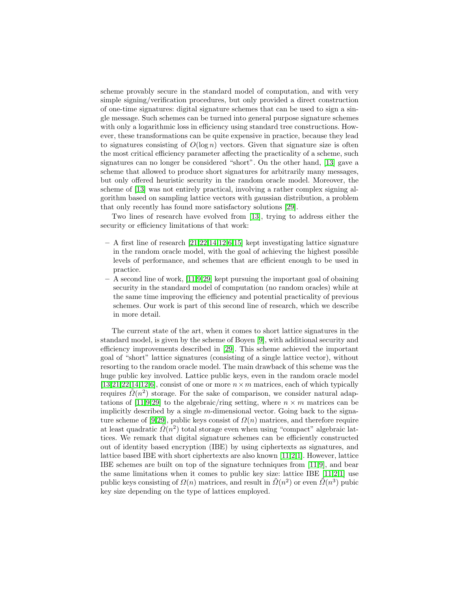scheme provably secure in the standard model of computation, and with very simple signing/verification procedures, but only provided a direct construction of one-time signatures: digital signature schemes that can be used to sign a single message. Such schemes can be turned into general purpose signature schemes with only a logarithmic loss in efficiency using standard tree constructions. However, these transformations can be quite expensive in practice, because they lead to signatures consisting of  $O(\log n)$  vectors. Given that signature size is often the most critical efficiency parameter affecting the practicality of a scheme, such signatures can no longer be considered "short". On the other hand, [\[13\]](#page-14-3) gave a scheme that allowed to produce short signatures for arbitrarily many messages, but only offered heuristic security in the random oracle model. Moreover, the scheme of [\[13\]](#page-14-3) was not entirely practical, involving a rather complex signing algorithm based on sampling lattice vectors with gaussian distribution, a problem that only recently has found more satisfactory solutions [\[29\]](#page-15-8).

Two lines of research have evolved from [\[13\]](#page-14-3), trying to address either the security or efficiency limitations of that work:

- $-$  A first line of research  $[21, 22, 14, 12, 6, 15]$  $[21, 22, 14, 12, 6, 15]$  $[21, 22, 14, 12, 6, 15]$  $[21, 22, 14, 12, 6, 15]$  $[21, 22, 14, 12, 6, 15]$  $[21, 22, 14, 12, 6, 15]$  $[21, 22, 14, 12, 6, 15]$  $[21, 22, 14, 12, 6, 15]$  $[21, 22, 14, 12, 6, 15]$  kept investigating lattice signature in the random oracle model, with the goal of achieving the highest possible levels of performance, and schemes that are efficient enough to be used in practice.
- A second line of work, [\[11,](#page-14-9)[9](#page-14-4)[,29\]](#page-15-8) kept pursuing the important goal of obaining security in the standard model of computation (no random oracles) while at the same time improving the efficiency and potential practicality of previous schemes. Our work is part of this second line of research, which we describe in more detail.

The current state of the art, when it comes to short lattice signatures in the standard model, is given by the scheme of Boyen [\[9\]](#page-14-4), with additional security and efficiency improvements described in [\[29\]](#page-15-8). This scheme achieved the important goal of "short" lattice signatures (consisting of a single lattice vector), without resorting to the random oracle model. The main drawback of this scheme was the huge public key involved. Lattice public keys, even in the random oracle model [\[13](#page-14-3)[,21](#page-15-3)[,22,](#page-15-5)[14](#page-14-5)[,12](#page-14-6)[,6\]](#page-14-7), consist of one or more  $n \times m$  matrices, each of which typically requires  $\tilde{\Omega}(n^2)$  storage. For the sake of comparison, we consider natural adap-tations of [\[11,](#page-14-9)[9](#page-14-4)[,29\]](#page-15-8) to the algebraic/ring setting, where  $n \times m$  matrices can be implicitly described by a single m-dimensional vector. Going back to the signa-ture scheme of [\[9](#page-14-4)[,29\]](#page-15-8), public keys consist of  $\Omega(n)$  matrices, and therefore require at least quadratic  $\tilde{\Omega}(n^2)$  total storage even when using "compact" algebraic lattices. We remark that digital signature schemes can be efficiently constructed out of identity based encryption (IBE) by using ciphertexts as signatures, and lattice based IBE with short ciphertexts are also known [\[11,](#page-14-9)[2](#page-14-10)[,1\]](#page-13-0). However, lattice IBE schemes are built on top of the signature techniques from [\[11,](#page-14-9)[9\]](#page-14-4), and bear the same limitations when it comes to public key size: lattice IBE  $[11,2,1]$  $[11,2,1]$  $[11,2,1]$  use public keys consisting of  $\Omega(n)$  matrices, and result in  $\tilde{\Omega}(n^2)$  or even  $\tilde{\Omega}(n^3)$  pubic key size depending on the type of lattices employed.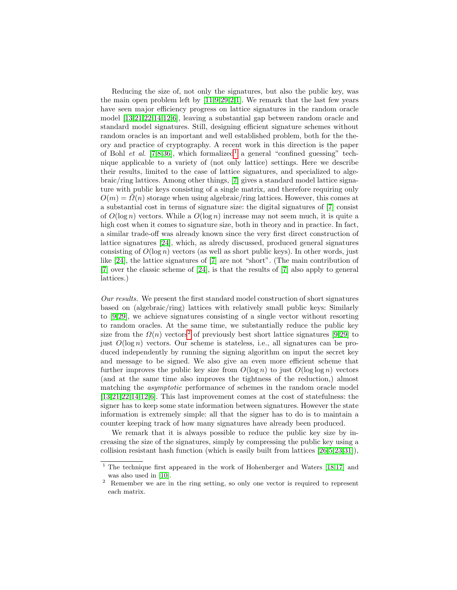Reducing the size of, not only the signatures, but also the public key, was the main open problem left by  $[11,9,29,2,1]$  $[11,9,29,2,1]$  $[11,9,29,2,1]$  $[11,9,29,2,1]$  $[11,9,29,2,1]$ . We remark that the last few years have seen major efficiency progress on lattice signatures in the random oracle model [\[13,](#page-14-3)[21](#page-15-3)[,22,](#page-15-5)[14,](#page-14-5)[12,](#page-14-6)[6\]](#page-14-7), leaving a substantial gap between random oracle and standard model signatures. Still, designing efficient signature schemes without random oracles is an important and well established problem, both for the theory and practice of cryptography. A recent work in this direction is the paper of Bohl et al. [\[7,](#page-14-11)[8,](#page-14-12)[36\]](#page-16-0), which formalized<sup>[1](#page-2-0)</sup> a general "confined guessing" technique applicable to a variety of (not only lattice) settings. Here we describe their results, limited to the case of lattice signatures, and specialized to algebraic/ring lattices. Among other things, [\[7\]](#page-14-11) gives a standard model lattice signature with public keys consisting of a single matrix, and therefore requiring only  $O(m) = \Omega(n)$  storage when using algebraic/ring lattices. However, this comes at a substantial cost in terms of signature size: the digital signatures of [\[7\]](#page-14-11) consist of  $O(\log n)$  vectors. While a  $O(\log n)$  increase may not seem much, it is quite a high cost when it comes to signature size, both in theory and in practice. In fact, a similar trade-off was already known since the very first direct construction of lattice signatures [\[24\]](#page-15-2), which, as alredy discussed, produced general signatures consisting of  $O(\log n)$  vectors (as well as short public keys). In other words, just like [\[24\]](#page-15-2), the lattice signatures of [\[7\]](#page-14-11) are not "short". (The main contribution of [\[7\]](#page-14-11) over the classic scheme of [\[24\]](#page-15-2), is that the results of [\[7\]](#page-14-11) also apply to general lattices.)

Our results. We present the first standard model construction of short signatures based on (algebraic/ring) lattices with relatively small public keys: Similarly to [\[9,](#page-14-4)[29\]](#page-15-8), we achieve signatures consisting of a single vector without resorting to random oracles. At the same time, we substantially reduce the public key size from the  $\Omega(n)$  vectors<sup>[2](#page-2-1)</sup> of previously best short lattice signatures [\[9,](#page-14-4)[29\]](#page-15-8) to just  $O(\log n)$  vectors. Our scheme is stateless, i.e., all signatures can be produced independently by running the signing algorithm on input the secret key and message to be signed. We also give an even more efficient scheme that further improves the public key size from  $O(\log n)$  to just  $O(\log \log n)$  vectors (and at the same time also improves the tightness of the reduction,) almost matching the *asymptotic* performance of schemes in the random oracle model [\[13](#page-14-3)[,21](#page-15-3)[,22,](#page-15-5)[14](#page-14-5)[,12](#page-14-6)[,6\]](#page-14-7). This last improvement comes at the cost of statefulness: the signer has to keep some state information between signatures. However the state information is extremely simple: all that the signer has to do is to maintain a counter keeping track of how many signatures have already been produced.

We remark that it is always possible to reduce the public key size by increasing the size of the signatures, simply by compressing the public key using a collision resistant hash function (which is easily built from lattices [\[26,](#page-15-9)[5,](#page-14-13)[23,](#page-15-10)[31\]](#page-15-11)),

<span id="page-2-0"></span> $1$  The technique first appeared in the work of Hohenberger and Waters [\[18,](#page-15-12)[17\]](#page-14-14) and was also used in [\[10\]](#page-14-15).

<span id="page-2-1"></span><sup>&</sup>lt;sup>2</sup> Remember we are in the ring setting, so only one vector is required to represent each matrix.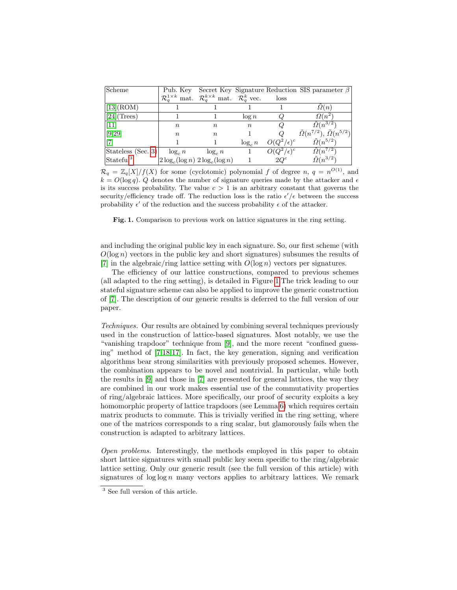| Scheme                |                                   |                                                                                          |                  |                     | Pub. Key Secret Key Signature Reduction SIS parameter $\beta$ |
|-----------------------|-----------------------------------|------------------------------------------------------------------------------------------|------------------|---------------------|---------------------------------------------------------------|
|                       |                                   | $\mathcal{R}_q^{1\times k}$ mat. $\mathcal{R}_q^{k\times k}$ mat. $\mathcal{R}_q^k$ vec. |                  | loss                |                                                               |
| $\vert$ [13](ROM)     |                                   |                                                                                          |                  |                     | $\Omega(n)$                                                   |
| $[24]$ (Trees)        |                                   |                                                                                          | $\log n$         |                     | $\Omega(n^2)$                                                 |
| $\vert$ [11]          | $\, n$                            | $\, n$                                                                                   | $\boldsymbol{n}$ |                     | $\Omega(n^{3/2})$                                             |
| [9,29]                | $\, n$                            | $\, n$                                                                                   |                  |                     | $\tilde{\Omega}(n^{7/2}), \tilde{\Omega}(n^{5/2})$            |
|                       |                                   |                                                                                          | $\log_c n$       | $O(Q^2/\epsilon)^c$ | $\tilde{\Omega}(n^{5/2})$                                     |
| Stateless (Sec. 3)    | $\log_c n$                        | $\log_c n$                                                                               |                  | $O(Q^2/\epsilon)^c$ | $\tilde{\Omega}(n^{7/2})$                                     |
| Stateful <sup>3</sup> | $\log_c(\log n) 2 \log_c(\log n)$ |                                                                                          |                  | $2Q^c$              | $\tilde{\Omega}(n^{3/2})$                                     |

 $\mathcal{R}_q = \mathbb{Z}_q[X]/f(X)$  for some (cyclotomic) polynomial f of degree n,  $q = n^{O(1)}$ , and  $k = O(\log q)$ . Q denotes the number of signature queries made by the attacker and  $\epsilon$ is its success probability. The value  $c > 1$  is an arbitrary constant that governs the security/efficiency trade off. The reduction loss is the ratio  $\epsilon'/\epsilon$  between the success probability  $\epsilon'$  of the reduction and the success probability  $\epsilon$  of the attacker.

<span id="page-3-0"></span>Fig. 1. Comparison to previous work on lattice signatures in the ring setting.

and including the original public key in each signature. So, our first scheme (with  $O(\log n)$  vectors in the public key and short signatures) subsumes the results of [\[7\]](#page-14-11) in the algebraic/ring lattice setting with  $O(\log n)$  vectors per signatures.

The efficiency of our lattice constructions, compared to previous schemes (all adapted to the ring setting), is detailed in Figure [1.](#page-3-0)The trick leading to our stateful signature scheme can also be applied to improve the generic construction of [\[7\]](#page-14-11). The description of our generic results is deferred to the full version of our paper.

Techniques. Our results are obtained by combining several techniques previously used in the construction of lattice-based signatures. Most notably, we use the "vanishing trapdoor" technique from [\[9\]](#page-14-4), and the more recent "confined guessing" method of [\[7,](#page-14-11)[18,](#page-15-12)[17\]](#page-14-14). In fact, the key generation, signing and verification algorithms bear strong similarities with previously proposed schemes. However, the combination appears to be novel and nontrivial. In particular, while both the results in [\[9\]](#page-14-4) and those in [\[7\]](#page-14-11) are presented for general lattices, the way they are combined in our work makes essential use of the commutativity properties of ring/algebraic lattices. More specifically, our proof of security exploits a key homomorphic property of lattice trapdoors (see Lemma [6\)](#page-10-0) which requires certain matrix products to commute. This is trivially verified in the ring setting, where one of the matrices corresponds to a ring scalar, but glamorously fails when the construction is adapted to arbitrary lattices.

Open problems. Interestingly, the methods employed in this paper to obtain short lattice signatures with small public key seem specific to the ring/algebraic lattice setting. Only our generic result (see the full version of this article) with signatures of  $\log \log n$  many vectors applies to arbitrary lattices. We remark

<sup>3</sup> See full version of this article.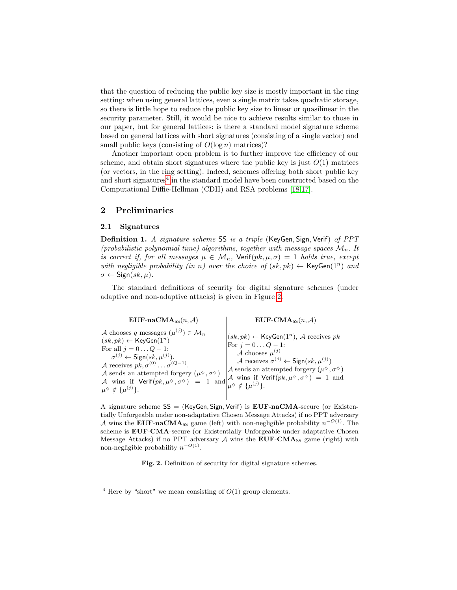that the question of reducing the public key size is mostly important in the ring setting: when using general lattices, even a single matrix takes quadratic storage, so there is little hope to reduce the public key size to linear or quasilinear in the security parameter. Still, it would be nice to achieve results similar to those in our paper, but for general lattices: is there a standard model signature scheme based on general lattices with short signatures (consisting of a single vector) and small public keys (consisting of  $O(\log n)$  matrices)?

Another important open problem is to further improve the efficiency of our scheme, and obtain short signatures where the public key is just  $O(1)$  matrices (or vectors, in the ring setting). Indeed, schemes offering both short public key and short signatures<sup>[4](#page-4-0)</sup> in the standard model have been constructed based on the Computational Diffie-Hellman (CDH) and RSA problems [\[18,](#page-15-12)[17\]](#page-14-14).

# 2 Preliminaries

### 2.1 Signatures

Definition 1. A signature scheme SS is a triple (KeyGen, Sign, Verif) of PPT (probabilistic polynomial time) algorithms, together with message spaces  $\mathcal{M}_n$ . It is correct if, for all messages  $\mu \in \mathcal{M}_n$ ,  $\text{Verify}(pk, \mu, \sigma) = 1$  holds true, except with negligible probability (in n) over the choice of  $(sk, pk) \leftarrow \text{KeyGen}(1^n)$  and  $\sigma \leftarrow$  Sign(sk,  $\mu$ ).

The standard definitions of security for digital signature schemes (under adaptive and non-adaptive attacks) is given in Figure [2.](#page-4-1)

 $EUF-naCMA_{SS}(n, A)$   $EUF-CMA_{SS}(n, A)$ A chooses q messages  $(\mu^{(j)}) \in \mathcal{M}_n$  $(sk, pk) \leftarrow \text{KeyGen}(1^n)$ For all  $j = 0 \dots Q - 1$ :  $\sigma^{(j)} \leftarrow \mathsf{Sign}(sk, \mu^{(j)}).$ A receives  $pk, \sigma^{(0)} \dots \sigma^{(Q-1)}$ . A sends an attempted forgery  $(\mu^{\diamond}, \sigma^{\diamond})$ A wins if  $Verify(k, \mu^{\diamondsuit}, \sigma^{\diamondsuit}) = 1$  and  $\mu^{\diamond} \notin {\{\mu^{(j)}\}}.$  $(sk, pk) \leftarrow \text{KeyGen}(1^n)$ , A receives pk For  $j = 0...Q - 1$ : A chooses  $\mu^{(j)}$ A receives  $\sigma^{(j)} \leftarrow$  Sign $(sk, \mu^{(j)})$ A sends an attempted forgery  $(\mu^{\diamond}, \sigma^{\diamond})$ A wins if  $\mathsf{Verify}(pk, \mu^\diamondsuit, \sigma^\diamondsuit) = 1$  and  $\mu^{\diamond} \notin {\{\mu^{(j)}\}}.$ 

A signature scheme  $SS = (KeyGen, Sign, Verify)$  is  $EUF-naCMA$ -secure (or Existentially Unforgeable under non-adaptative Chosen Message Attacks) if no PPT adversary A wins the EUF-naCMAss game (left) with non-negligible probability  $n^{-O(1)}$ . The scheme is EUF-CMA-secure (or Existentially Unforgeable under adaptative Chosen Message Attacks) if no PPT adversary  $A$  wins the EUF-CMA<sub>SS</sub> game (right) with non-negligible probability  $n^{-O(1)}$ .

<span id="page-4-1"></span>Fig. 2. Definition of security for digital signature schemes.

<span id="page-4-0"></span><sup>&</sup>lt;sup>4</sup> Here by "short" we mean consisting of  $O(1)$  group elements.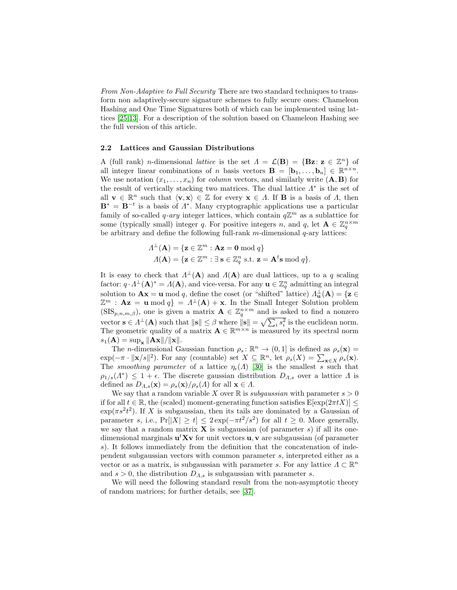From Non-Adaptive to Full Security There are two standard techniques to transform non adaptively-secure signature schemes to fully secure ones: Chameleon Hashing and One Time Signatures both of which can be implemented using lattices [\[25](#page-15-13)[,13\]](#page-14-3). For a description of the solution based on Chameleon Hashing see the full version of this article.

### 2.2 Lattices and Gaussian Distributions

A (full rank) *n*-dimensional *lattice* is the set  $\Lambda = \mathcal{L}(\mathbf{B}) = {\mathbf{Bz}} : \mathbf{z} \in \mathbb{Z}^n$  of all integer linear combinations of n basis vectors  $\mathbf{B} = [\mathbf{b}_1, \dots, \mathbf{b}_n] \in \mathbb{R}^{n \times n}$ . We use notation  $(x_1, \ldots, x_n)$  for *column* vectors, and similarly write  $(A, B)$  for the result of vertically stacking two matrices. The dual lattice  $\Lambda^*$  is the set of all  $\mathbf{v} \in \mathbb{R}^n$  such that  $\langle \mathbf{v}, \mathbf{x} \rangle \in \mathbb{Z}$  for every  $\mathbf{x} \in \Lambda$ . If **B** is a basis of  $\Lambda$ , then  $\mathbf{B}^* = \mathbf{B}^{-t}$  is a basis of  $\Lambda^*$ . Many cryptographic applications use a particular family of so-called q-ary integer lattices, which contain  $q\mathbb{Z}^m$  as a sublattice for some (typically small) integer q. For positive integers n, and q, let  $\mathbf{A} \in \mathbb{Z}_q^{n \times m}$ be arbitrary and define the following full-rank  $m$ -dimensional  $q$ -ary lattices:

$$
\Lambda^{\perp}(\mathbf{A}) = \{ \mathbf{z} \in \mathbb{Z}^m : \mathbf{A}\mathbf{z} = \mathbf{0} \bmod q \}
$$
  

$$
\Lambda(\mathbf{A}) = \{ \mathbf{z} \in \mathbb{Z}^m : \exists \ \mathbf{s} \in \mathbb{Z}_q^n \ \text{s.t.} \ \mathbf{z} = \mathbf{A}^t \mathbf{s} \bmod q \}.
$$

It is easy to check that  $\Lambda^{\perp}(\mathbf{A})$  and  $\Lambda(\mathbf{A})$  are dual lattices, up to a q scaling factor:  $q \cdot A^{\perp}({\bf A})^* = A({\bf A})$ , and vice-versa. For any  ${\bf u} \in \mathbb{Z}_q^n$  admitting an integral solution to  $\mathbf{A}\mathbf{x} = \mathbf{u} \mod q$ , define the coset (or "shifted" lattice)  $\Lambda_{\mathbf{u}}^{\perp}(\mathbf{A}) = \{ \mathbf{z} \in$  $\mathbb{Z}^m$ :  $\mathbf{Az} = \mathbf{u} \bmod q$  =  $\Lambda^{\perp}(\mathbf{A}) + \mathbf{x}$ . In the Small Integer Solution problem  $(SIS_{p,n,m,\beta})$ , one is given a matrix  $\mathbf{A} \in \mathbb{Z}_q^{n \times m}$  and is asked to find a nonzero vector  $\mathbf{s} \in \Lambda^{\perp}(\mathbf{A})$  such that  $\|\mathbf{s}\| \leq \beta$  where  $\|\mathbf{s}\| = \sqrt{\sum_i s_i^2}$  is the euclidean norm. The geometric quality of a matrix  $\mathbf{A} \in \mathbb{R}^{m \times n}$  is measured by its spectral norm  $s_1(\mathbf{A}) = \sup_{\mathbf{x}} ||\mathbf{A}\mathbf{x}|| / ||\mathbf{x}||.$ 

The *n*-dimensional Gaussian function  $\rho_s : \mathbb{R}^n \to (0,1]$  is defined as  $\rho_s(\mathbf{x}) =$  $\exp(-\pi \cdot ||\mathbf{x}/s||^2)$ . For any (countable) set  $X \subseteq \mathbb{R}^n$ , let  $\rho_s(X) = \sum_{\mathbf{x} \in X} \rho_s(\mathbf{x})$ . The *smoothing parameter* of a lattice  $\eta_{\epsilon}(A)$  [\[30\]](#page-15-14) is the smallest s such that  $\rho_{1/s}(A^*) \leq 1 + \epsilon$ . The discrete gaussian distribution  $D_{A,s}$  over a lattice  $\Lambda$  is defined as  $D_{\Lambda,s}(\mathbf{x}) = \rho_s(\mathbf{x})/\rho_s(\Lambda)$  for all  $\mathbf{x} \in \Lambda$ .

We say that a random variable X over  $\mathbb R$  is *subgaussian* with parameter  $s > 0$ if for all  $t \in \mathbb{R}$ , the (scaled) moment-generating function satisfies  $E[\exp(2\pi t X)] \le$  $\exp(\pi s^2 t^2)$ . If X is subgaussian, then its tails are dominated by a Gaussian of parameter s, i.e.,  $Pr[|X| \ge t] \le 2exp(-\pi t^2/s^2)$  for all  $t \ge 0$ . More generally, we say that a random matrix  $X$  is subgaussian (of parameter s) if all its onedimensional marginals  $\mathbf{u}^t \mathbf{X} \mathbf{v}$  for unit vectors  $\mathbf{u}, \mathbf{v}$  are subgaussian (of parameter s). It follows immediately from the definition that the concatenation of independent subgaussian vectors with common parameter s, interpreted either as a vector or as a matrix, is subgaussian with parameter s. For any lattice  $\Lambda \subset \mathbb{R}^n$ and  $s > 0$ , the distribution  $D_{A,s}$  is subgaussian with parameter s.

<span id="page-5-0"></span>We will need the following standard result from the non-asymptotic theory of random matrices; for further details, see [\[37\]](#page-16-1).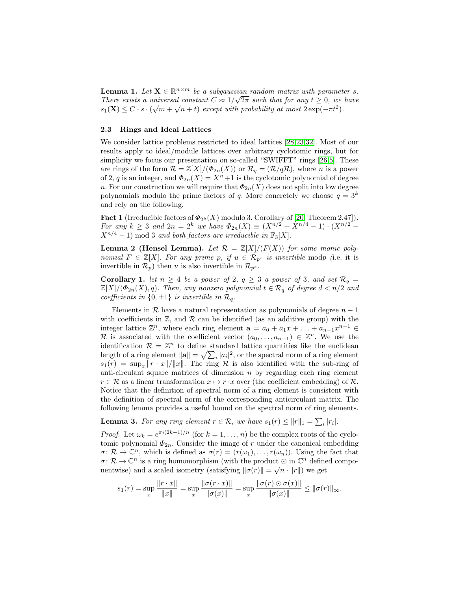**Lemma 1.** Let  $X \in \mathbb{R}^{n \times m}$  be a subgaussian random matrix with parameter s. There exists a universal constant  $C \approx 1/\sqrt{2\pi}$  such that for any  $t \ge 0$ , we have  $s_1(\mathbf{X}) \leq C \cdot s \cdot (\sqrt{m} + \sqrt{n} + t)$  except with probability at most  $2 \exp(-\pi t^2)$ .

### 2.3 Rings and Ideal Lattices

We consider lattice problems restricted to ideal lattices [\[28,](#page-15-0)[23,](#page-15-10)[32\]](#page-15-15). Most of our results apply to ideal/module lattices over arbitrary cyclotomic rings, but for simplicity we focus our presentation on so-called "SWIFFT" rings [\[26,](#page-15-9)[5\]](#page-14-13). These are rings of the form  $\mathcal{R} = \mathbb{Z}[X]/(\Phi_{2n}(X))$  or  $\mathcal{R}_q = (\mathcal{R}/q\mathcal{R})$ , where n is a power of 2, q is an integer, and  $\Phi_{2n}(X) = X^n + 1$  is the cyclotomic polynomial of degree n. For our construction we will require that  $\Phi_{2n}(X)$  does not split into low degree polynomials modulo the prime factors of q. More concretely we choose  $q = 3^k$ and rely on the following.

<span id="page-6-0"></span>**Fact 1** (Irreducible factors of  $\Phi_{2^k}(X)$  modulo 3. Corollary of [\[20,](#page-15-16) Theorem 2.47]). For any  $k \geq 3$  and  $2n = 2^k$  we have  $\Phi_{2n}(X) \equiv (X^{n/2} + X^{n/4} - 1) \cdot (X^{n/2} - 1)$  $X^{n/4} - 1$  mod 3 and both factors are irreducible in  $\mathbb{F}_3[X]$ .

**Lemma 2 (Hensel Lemma).** Let  $\mathcal{R} = \mathbb{Z}[X]/(F(X))$  for some monic polynomial  $F \in \mathbb{Z}[X]$ . For any prime p, if  $u \in \mathcal{R}_{p^e}$  is invertible modp (i.e. it is invertible in  $\mathcal{R}_p$ ) then u is also invertible in  $\mathcal{R}_{p^e}$ .

<span id="page-6-1"></span>Corollary 1. let  $n \geq 4$  be a power of 2,  $q \geq 3$  a power of 3, and set  $\mathcal{R}_q =$  $\mathbb{Z}[X]/(\Phi_{2n}(X), q)$ . Then, any nonzero polynomial  $t \in \mathcal{R}_q$  of degree  $d < n/2$  and coefficients in  $\{0, \pm 1\}$  is invertible in  $\mathcal{R}_q$ .

Elements in  $\mathcal R$  have a natural representation as polynomials of degree  $n-1$ with coefficients in  $\mathbb{Z}$ , and  $\mathcal R$  can be identified (as an additive group) with the integer lattice  $\mathbb{Z}^n$ , where each ring element  $\mathbf{a} = a_0 + a_1 x + \ldots + a_{n-1} x^{n-1} \in$ R is associated with the coefficient vector  $(a_0, \ldots, a_{n-1}) \in \mathbb{Z}^n$ . We use the identification  $\mathcal{R} = \mathbb{Z}^n$  to define standard lattice quantities like the euclidean length of a ring element  $\|\mathbf{a}\| = \sqrt{\sum_i |a_i|^2}$ , or the spectral norm of a ring element  $s_1(r) = \sup_x ||r \cdot x|| / ||x||$ . The ring R is also identified with the sub-ring of anti-circulant square matrices of dimension  $n$  by regarding each ring element  $r \in \mathcal{R}$  as a linear transformation  $x \mapsto r \cdot x$  over (the coefficient embedding) of  $\mathcal{R}$ . Notice that the definition of spectral norm of a ring element is consistent with the definition of spectral norm of the corresponding anticirculant matrix. The following lemma provides a useful bound on the spectral norm of ring elements.

<span id="page-6-2"></span>**Lemma 3.** For any ring element  $r \in \mathcal{R}$ , we have  $s_1(r) \leq ||r||_1 = \sum_i |r_i|$ .

*Proof.* Let  $\omega_k = e^{\pi i (2k-1)/n}$  (for  $k = 1, ..., n$ ) be the complex roots of the cyclotomic polynomial  $\Phi_{2n}$ . Consider the image of r under the canonical embedding  $\sigma \colon \mathcal{R} \to \mathbb{C}^n$ , which is defined as  $\sigma(r) = (r(\omega_1), \ldots, r(\omega_n))$ . Using the fact that  $\sigma \colon \mathcal{R} \to \mathbb{C}^n$  is a ring homomorphism (with the product  $\odot$  in  $\mathbb{C}^n$  defined componentwise) and a scaled isometry (satisfying  $\|\sigma(r)\| = \sqrt{n} \cdot \|r\|$ ) we get

$$
s_1(r) = \sup_x \frac{\|r \cdot x\|}{\|x\|} = \sup_x \frac{\|\sigma(r \cdot x)\|}{\|\sigma(x)\|} = \sup_x \frac{\|\sigma(r) \odot \sigma(x)\|}{\|\sigma(x)\|} \le \|\sigma(r)\|_{\infty}.
$$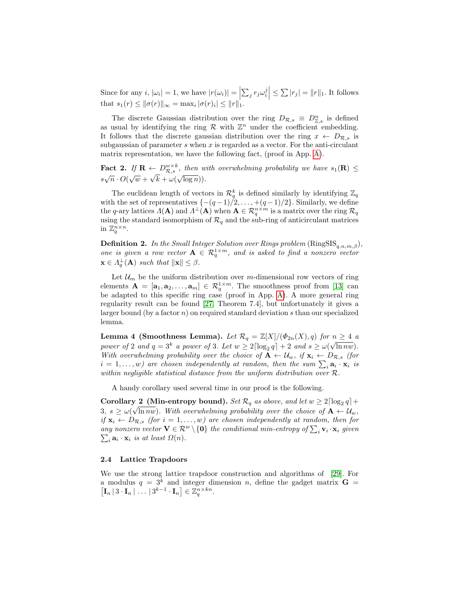Since for any  $i, |\omega_i| = 1$ , we have  $|r(\omega_i)| = \left| \sum_j r_j \omega_i^j \right| \leq \sum |r_j| = ||r||_1$ . It follows that  $s_1(r) \le ||\sigma(r)||_{\infty} = \max_i |\sigma(r)_i| \le ||r||_1$ .

The discrete Gaussian distribution over the ring  $D_{\mathcal{R},s} \equiv D_{\mathbb{Z},s}^n$  is defined as usual by identifying the ring  $\mathcal R$  with  $\mathbb Z^n$  under the coefficient embedding. It follows that the discrete gaussian distribution over the ring  $x \leftarrow D_{\mathcal{R},s}$  is subgaussian of parameter s when x is regarded as a vector. For the anti-circulant matrix representation, we have the following fact, (proof in App. [A\)](#page-16-2).

<span id="page-7-1"></span>Fact 2. If  $\mathbf{R} \leftarrow D_{\mathcal{R},s}^{w \times k}$ , then with overwhelming probability we have  $s_1(\mathbf{R}) \leq$  $s\sqrt{n} \cdot O(\sqrt{w} + \sqrt{k} + \omega(\sqrt{\log n})).$ 

The euclidean length of vectors in  $\mathcal{R}_q^k$  is defined similarly by identifying  $\mathbb{Z}_q$ with the set of representatives  $\{-(q-1)/2, \ldots, +(q-1)/2\}$ . Similarly, we define the q-ary lattices  $\Lambda(A)$  and  $\Lambda^{\perp}(A)$  when  $A \in \mathcal{R}_q^{n \times m}$  is a matrix over the ring  $\mathcal{R}_q$ using the standard isomorphism of  $\mathcal{R}_q$  and the sub-ring of anticirculant matrices in  $\mathbb{Z}_q^{n \times n}$ .

**Definition 2.** In the Small Integer Solution over Rings problem  $(\text{RingSIS}_{q,n,m,\beta})$ , one is given a row vector  $A \in \mathcal{R}_q^{1 \times m}$ , and is asked to find a nonzero vector  $\mathbf{x} \in \Lambda_q^{\perp}(\mathbf{A})$  such that  $\|\mathbf{x}\| \leq \beta$ .

Let  $\mathcal{U}_m$  be the uniform distribution over m-dimensional row vectors of ring elements  $\mathbf{A} = [\mathbf{a}_1, \mathbf{a}_2, \dots, \mathbf{a}_m] \in \mathcal{R}_q^{1 \times m}$ . The smoothness proof from [\[13\]](#page-14-3) can be adapted to this specific ring case (proof in App. [A\)](#page-16-2). A more general ring regularity result can be found [\[27,](#page-15-17) Theorem 7.4], but unfortunately it gives a larger bound (by a factor  $n$ ) on required standard deviation s than our specialized lemma.

<span id="page-7-0"></span>Lemma 4 (Smoothness Lemma). Let  $\mathcal{R}_q = \mathbb{Z}[X]/(\Phi_{2n}(X), q)$  for  $n \geq 4$  and power of 2 and  $q = 3^k$  a power of 3. Let  $w \ge 2 \lceil \log_2 q \rceil + 2$  and  $s \ge \omega(\sqrt{\ln n w})$ . With overwhelming probability over the choice of  $A \leftarrow \mathcal{U}_w$ , if  $\mathbf{x}_i \leftarrow D_{\mathcal{R},s}$  (for  $i=1,\ldots,w)$  are chosen independently at random, then the sum  $\sum_i \mathbf{a}_i \cdot \mathbf{x}_i$  is within negligible statistical distance from the uniform distribution over  $\mathcal{R}$ .

<span id="page-7-2"></span>A handy corollary used several time in our proof is the following.

Corollary 2 (Min-entropy bound). Set  $\mathcal{R}_q$  as above, and let  $w \geq 2\lceil \log_2 q \rceil +$  $3, s \geq \omega(\sqrt{\ln n}w)$ . With overwhelming probability over the choice of  $A \leftarrow \mathcal{U}_w$ , if  $\mathbf{x}_i \leftarrow D_{\mathcal{R},s}$  (for  $i = 1, \ldots, w$ ) are chosen independently at random, then for any nonzero vector  $\mathbf{V} \in \mathcal{R}^w \setminus \{\mathbf{0}\}$  the conditional min-entropy of  $\sum_i \mathbf{v}_i \cdot \mathbf{x}_i$  given  $\sum_i \mathbf{a}_i \cdot \mathbf{x}_i$  is at least  $\Omega(n)$ .  $_i \mathbf{a}_i \cdot \mathbf{x}_i$  is at least  $\Omega(n)$ .

### 2.4 Lattice Trapdoors

We use the strong lattice trapdoor construction and algorithms of [\[29\]](#page-15-8). For a modulus  $q = 3^k$  and integer dimension n, define the gadget matrix  $\mathbf{G} =$  $\left[\mathbf{I}_n \,|\, 3 \cdot \mathbf{I}_n \,|\, \ldots \,|\, 3^{k-1} \cdot \mathbf{I}_n \right] \in \mathbb{Z}_q^{n \times kn}.$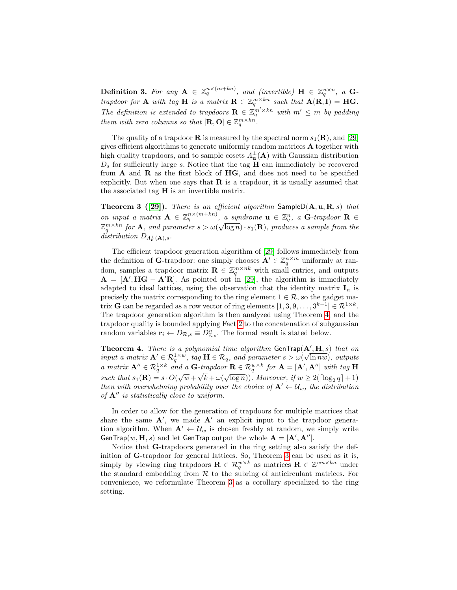**Definition 3.** For any  $A \in \mathbb{Z}_q^{n \times (m+kn)}$ , and (invertible)  $H \in \mathbb{Z}_q^{n \times n}$ , a Gtrapdoor for **A** with tag **H** is a matrix  $\mathbf{R} \in \mathbb{Z}_q^{m \times kn}$  such that  $\mathbf{A}(\mathbf{R}, \mathbf{I}) = \mathbf{H}\mathbf{G}$ . The definition is extended to trapdoors  $\mathbf{R} \in \mathbb{Z}_q^{m' \times kn}$  with  $m' \leq m$  by padding them with zero columns so that  $[\mathbf{R}, \mathbf{O}] \in \mathbb{Z}_q^{m \times kn}$ .

The quality of a trapdoor **R** is measured by the spectral norm  $s_1(\mathbf{R})$ , and [\[29\]](#page-15-8) gives efficient algorithms to generate uniformly random matrices A together with high quality trapdoors, and to sample cosets  $\Lambda^{\perp}_{\mathbf{u}}(\mathbf{A})$  with Gaussian distribution  $D<sub>s</sub>$  for sufficiently large s. Notice that the tag  $H$  can immediately be recovered from  $A$  and  $R$  as the first block of  $HG$ , and does not need to be specified explicitly. But when one says that  $\bf{R}$  is a trapdoor, it is usually assumed that the associated tag  $H$  is an invertible matrix.

<span id="page-8-0"></span>Theorem 3 ([\[29\]](#page-15-8)). There is an efficient algorithm  $S$ ample $D(A, u, R, s)$  that on input a matrix  $\mathbf{A} \in \mathbb{Z}_q^{n \times (m+kn)}$ , a syndrome  $\mathbf{u} \in \mathbb{Z}_q^n$ , a  $\mathbf{G}$ -trapdoor  $\mathbf{R} \in$  $\mathbb{Z}_q^m \times k^n$  for **A**, and parameter  $s > \omega(\sqrt{\log n}) \cdot s_1(\mathbf{R})$ , produces a sample from the distribution  $D_{\Lambda_{\mathbf{u}}^{\perp}(\mathbf{A}),s}$ .

The efficient trapdoor generation algorithm of [\[29\]](#page-15-8) follows immediately from the definition of G-trapdoor: one simply chooses  $\mathbf{A}' \in \mathbb{Z}_q^{n \times m}$  uniformly at random, samples a trapdoor matrix  $\mathbf{R} \in \mathbb{Z}_q^{m \times nk}$  with small entries, and outputs  $\mathbf{A} = [\mathbf{A}', \mathbf{H}\mathbf{G} - \mathbf{A}'\mathbf{R}]$ . As pointed out in [\[29\]](#page-15-8), the algorithm is immediately adapted to ideal lattices, using the observation that the identity matrix  $I_n$  is precisely the matrix corresponding to the ring element  $1 \in \mathcal{R}$ , so the gadget matrix **G** can be regarded as a row vector of ring elements  $[1, 3, 9, \ldots, 3^{k-1}] \in \mathbb{R}^{1 \times k}$ . The trapdoor generation algorithm is then analyzed using Theorem [4,](#page-7-0) and the trapdoor quality is bounded applying Fact [2](#page-7-1) to the concatenation of subgaussian random variables  $\mathbf{r}_i \leftarrow D_{\mathcal{R},s} \equiv D_{\mathbb{Z},s}^n$ . The formal result is stated below.

<span id="page-8-2"></span>**Theorem 4.** There is a polynomial time algorithm  $\mathsf{GenTrap}(\mathbf{A}', \mathbf{H}, s)$  that on input a matrix  $\mathbf{A}' \in \mathcal{R}_q^{1 \times w}$ , tag  $\mathbf{H} \in \mathcal{R}_q$ , and parameter  $s > \omega(\sqrt{\ln n w})$ , outputs a matrix  $\mathbf{A}^{\prime\prime} \in \mathcal{R}_q^{1 \times k}$  and a  $\mathbf{G}$ -trapdoor  $\mathbf{R} \in \mathcal{R}_q^{w \times k}$  for  $\mathbf{A} = [\mathbf{A}^\prime, \mathbf{A}^{\prime\prime}]$  with tag  $\mathbf{H}$ such that  $s_1(\mathbf{R}) = s \cdot O(\sqrt{w} + \sqrt{k} + \omega(\sqrt{\log n}))$ . Moreover, if  $w \ge 2(\lceil \log_2 q \rceil + 1)$ then with overwhelming probability over the choice of  $A' \leftarrow \mathcal{U}_w$ , the distribution of  $A''$  is statistically close to uniform.

In order to allow for the generation of trapdoors for multiple matrices that share the same  $A'$ , we made  $A'$  an explicit input to the trapdoor generation algorithm. When  $A' \leftarrow \mathcal{U}_w$  is chosen freshly at random, we simply write GenTrap $(w, H, s)$  and let GenTrap output the whole  $A = [A', A'']$ .

<span id="page-8-1"></span>Notice that G-trapdoors generated in the ring setting also satisfy the definition of G-trapdoor for general lattices. So, Theorem [3](#page-8-0) can be used as it is, simply by viewing ring trapdoors  $\mathbf{R} \in \mathcal{R}_q^{w \times k}$  as matrices  $\mathbf{R} \in \mathbb{Z}^{wn \times kn}$  under the standard embedding from  $R$  to the subring of anticirculant matrices. For convenience, we reformulate Theorem [3](#page-8-0) as a corollary specialized to the ring setting.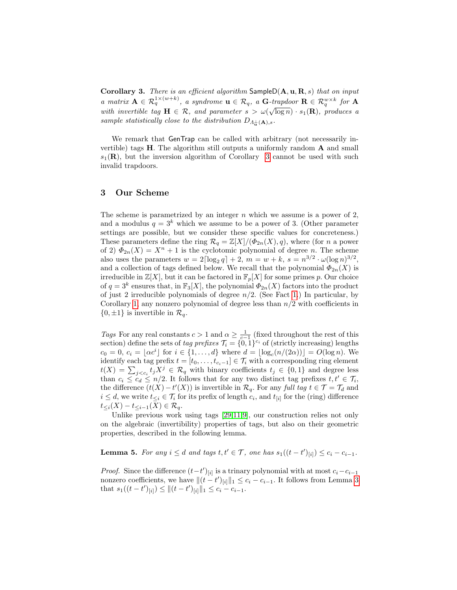Corollary 3. There is an efficient algorithm  $\mathsf{SampleD}(\mathbf{A}, \mathbf{u}, \mathbf{R}, s)$  that on input a matrix  $\mathbf{A} \in \mathcal{R}_q^{1 \times (w+k)}$ , a syndrome  $\mathbf{u} \in \mathcal{R}_q$ , a  $\mathbf{G}$ -trapdoor  $\mathbf{R} \in \mathcal{R}_q^{w \times k}$  for  $\mathbf{A}$ with invertible tag  $\mathbf{H} \in \mathcal{R}$ , and parameter  $s > \omega(\sqrt{\log n}) \cdot s_1(\mathbf{R})$ , produces a sample statistically close to the distribution  $D_{\Lambda_{\alpha}^{\perp}}(A)$ ,s.

We remark that GenTrap can be called with arbitrary (not necessarily invertible) tags H. The algorithm still outputs a uniformly random A and small  $s_1(\mathbf{R})$ , but the inversion algorithm of Corollary [3](#page-8-1) cannot be used with such invalid trapdoors.

# <span id="page-9-0"></span>3 Our Scheme

The scheme is parametrized by an integer  $n$  which we assume is a power of 2, and a modulus  $q = 3^k$  which we assume to be a power of 3. (Other parameter settings are possible, but we consider these specific values for concreteness.) These parameters define the ring  $\mathcal{R}_q = \mathbb{Z}[X]/(\Phi_{2n}(X), q)$ , where (for n a power of 2)  $\Phi_{2n}(X) = X^n + 1$  is the cyclotomic polynomial of degree n. The scheme also uses the parameters  $w = 2\lceil \log_2 q \rceil + 2, m = w + k, s = n^{3/2} \cdot \omega(\log n)^{3/2},$ and a collection of tags defined below. We recall that the polynomial  $\Phi_{2n}(X)$  is irreducible in  $\mathbb{Z}[X]$ , but it can be factored in  $\mathbb{F}_p[X]$  for some primes p. Our choice of  $q = 3^k$  ensures that, in  $\mathbb{F}_3[X]$ , the polynomial  $\phi_{2n}(X)$  factors into the product of just 2 irreducible polynomials of degree  $n/2$ . (See Fact [1.](#page-6-0)) In particular, by Corollary [1,](#page-6-1) any nonzero polynomial of degree less than  $n/2$  with coefficients in  $\{0, \pm 1\}$  is invertible in  $\mathcal{R}_q$ .

Tags For any real constants  $c > 1$  and  $\alpha \geq \frac{1}{c-1}$  (fixed throughout the rest of this section) define the sets of tag prefixes  $\mathcal{T}_i = \{0, 1\}^{c_i}$  of (strictly increasing) lengths  $c_0 = 0, c_i = \lfloor \alpha c^i \rfloor$  for  $i \in \{1, ..., d\}$  where  $d = \lfloor \log_c(n/(2\alpha)) \rfloor = O(\log n)$ . We identify each tag prefix  $t = [t_0, \ldots, t_{c_i-1}] \in \mathcal{T}_i$  with a corresponding ring element  $t(X) = \sum_{j < c_i} t_j X^j \in \mathcal{R}_q$  with binary coefficients  $t_j \in \{0, 1\}$  and degree less than  $c_i \leq c_d \leq n/2$ . It follows that for any two distinct tag prefixes  $t, t' \in \mathcal{T}_i$ , the difference  $(t(X) - t'(X))$  is invertible in  $\mathcal{R}_q$ . For any full tag  $t \in \mathcal{T} = \mathcal{T}_d$  and  $i \leq d$ , we write  $t_{\leq i} \in \mathcal{T}_i$  for its prefix of length  $c_i$ , and  $t_{[i]}$  for the (ring) difference  $t_{\leq i}(X) - t_{\leq i-1}(X) \in \mathcal{R}_q.$ 

Unlike previous work using tags [\[29,](#page-15-8)[11](#page-14-9)[,9\]](#page-14-4), our construction relies not only on the algebraic (invertibility) properties of tags, but also on their geometric properties, described in the following lemma.

<span id="page-9-1"></span>**Lemma 5.** For any  $i \leq d$  and tags  $t, t' \in \mathcal{T}$ , one has  $s_1((t - t')_{[i]}) \leq c_i - c_{i-1}$ .

*Proof.* Since the difference  $(t-t')_{[i]}$  is a trinary polynomial with at most  $c_i-c_{i-1}$ nonzero coefficients, we have  $\|(t - t')_{[i]}\|_1 \leq c_i - c_{i-1}$ . It follows from Lemma [3](#page-6-2) that  $s_1((t-t')_{[i]}) \leq ||(t-t')_{[i]}||_1 \leq c_i - c_{i-1}.$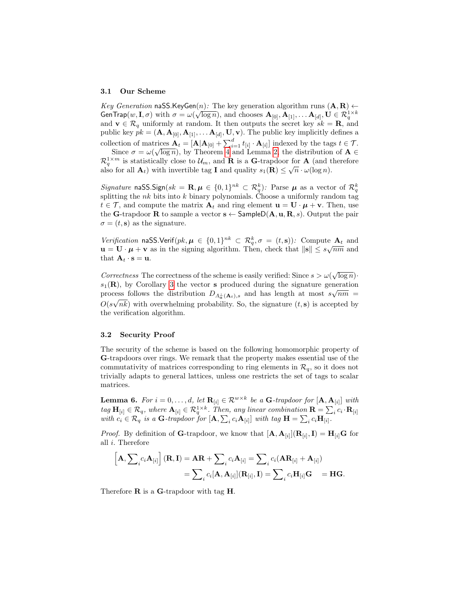### 3.1 Our Scheme

Key Generation naSS.KeyGen(n): The key generation algorithm runs  $(A, B) \leftarrow$ GenTrap $(w, I, \sigma)$  with  $\sigma = \omega(\sqrt{\log n})$ , and chooses  $\mathbf{A}_{[0]}, \mathbf{A}_{[1]}, \dots \mathbf{A}_{[d]}, \mathbf{U} \in \mathcal{R}_q^{1 \times k}$ and  $\mathbf{v} \in \mathcal{R}_q$  uniformly at random. It then outputs the secret key  $sk = \mathbf{R}$ , and public key  $pk = (\mathbf{A}, \mathbf{A}_{[0]}, \mathbf{A}_{[1]}, \dots, \mathbf{A}_{[d]}, \mathbf{U}, \mathbf{v})$ . The public key implicitly defines a collection of matrices  $\mathbf{A}_t = [\mathbf{A}|\mathbf{A}_{[0]} + \sum_{i=1}^d t_{[i]} \cdot \mathbf{A}_{[i]}]$  indexed by the tags  $t \in \mathcal{T}$ .

ection of matrices  $\mathbf{A}_t = [\mathbf{A}|\mathbf{A}_{[0]} + \sum_{i=1}^{\infty} \ell_{[i]} \cdot \mathbf{A}_{[i]}]$  indexed by the tags  $t \in I$ .<br>Since  $\sigma = \omega(\sqrt{\log n})$ , by Theorem [4](#page-8-2) and Lemma [2,](#page-7-1) the distribution of  $\mathbf{A} \in$  $\mathcal{R}_q^{1 \times m}$  is statistically close to  $\mathcal{U}_m$ , and **R** is a **G**-trapdoor for **A** (and therefore also for all  $\mathbf{A}_t$ ) with invertible tag **I** and quality  $s_1(\mathbf{R}) \leq \sqrt{n} \cdot \omega(\log n)$ .

Signature naSS.Sign(sk =  $\mathbf{R}, \boldsymbol{\mu} \in \{0,1\}^{nk} \subset \mathcal{R}_q^k$ ): Parse  $\boldsymbol{\mu}$  as a vector of  $\mathcal{R}_q^k$ splitting the nk bits into k binary polynomials. Choose a uniformly random tag  $t \in \mathcal{T}$ , and compute the matrix  $\mathbf{A}_t$  and ring element  $\mathbf{u} = \mathbf{U} \cdot \boldsymbol{\mu} + \mathbf{v}$ . Then, use the G-trapdoor R to sample a vector  $s \leftarrow$  SampleD( $\mathbf{A}, \mathbf{u}, \mathbf{R}, s$ ). Output the pair  $\sigma = (t, \mathbf{s})$  as the signature.

Verification naSS.Verif(pk,  $\mu \in \{0,1\}^{nk} \subset \mathcal{R}_q^k, \sigma = (t,s)$ ): Compute  $A_t$  and verification is used to  $\mu \in \{0, 1\}^n \subset \mathcal{R}_q$ ,  $\sigma = (i, s)$ . Compute  $\mathbf{A}_t$  and  $\mathbf{u} = \mathbf{U} \cdot \boldsymbol{\mu} + \mathbf{v}$  as in the signing algorithm. Then, check that  $\|\mathbf{s}\| \leq s\sqrt{nm}$  and that  $\mathbf{A}_t \cdot \mathbf{s} = \mathbf{u}$ .

Correctness The correctness of the scheme is easily verified: Since  $s > \omega(\sqrt{\log n})$ .  $s_1(\mathbf{R})$ , by Corollary [3](#page-8-1) the vector s produced during the signature generation process follows the distribution  $D_{\Lambda_{\mathbf{u}}^{\perp}(\mathbf{A}_t),s}$  and has length at most  $s\sqrt{nm} =$  $O(s\sqrt{nk})$  with overwhelming probability. So, the signature  $(t, s)$  is accepted by the verification algorithm.

### 3.2 Security Proof

The security of the scheme is based on the following homomorphic property of G-trapdoors over rings. We remark that the property makes essential use of the commutativity of matrices corresponding to ring elements in  $\mathcal{R}_q$ , so it does not trivially adapts to general lattices, unless one restricts the set of tags to scalar matrices.

<span id="page-10-0"></span>**Lemma 6.** For  $i = 0, \ldots, d$ , let  $\mathbf{R}_{[i]} \in \mathcal{R}^{w \times k}$  be a **G**-trapdoor for  $[\mathbf{A}, \mathbf{A}_{[i]}]$  with  $tag \mathbf{H}_{[i]} \in \mathcal{R}_q$ , where  $\mathbf{A}_{[i]} \in \mathcal{R}_q^{1 \times k}$ . Then, any linear combination  $\mathbf{R} = \sum_i c_i \cdot \mathbf{R}_{[i]}$ with  $c_i \in \mathcal{R}_q$  is a G-trapdoor for  $[\mathbf{A}, \sum_i c_i \mathbf{A}_{[i]}]$  with tag  $\mathbf{H} = \sum_i c_i \mathbf{H}_{[i]}$ .

*Proof.* By definition of **G**-trapdoor, we know that  $[\mathbf{A}, \mathbf{A}_{[i]}](\mathbf{R}_{[i]}, \mathbf{I}) = \mathbf{H}_{[i]}\mathbf{G}$  for all i. Therefore

$$
\begin{aligned} \left[\mathbf{A}, \sum\nolimits_i c_i \mathbf{A}_{[i]}\right](\mathbf{R}, \mathbf{I}) &= \mathbf{A}\mathbf{R} + \sum\nolimits_i c_i \mathbf{A}_{[i]} = \sum_i c_i (\mathbf{A}\mathbf{R}_{[i]} + \mathbf{A}_{[i]}) \\ &= \sum_i c_i [\mathbf{A}, \mathbf{A}_{[i]}] (\mathbf{R}_{[i]}, \mathbf{I}) = \sum_i c_i \mathbf{H}_{[i]} \mathbf{G} \end{aligned} = \mathbf{H}\mathbf{G}.
$$

Therefore **R** is a **G**-trapdoor with tag **H**.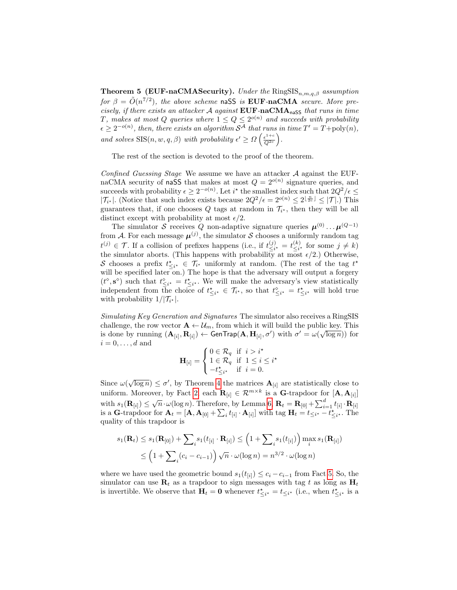**Theorem 5 (EUF-naCMASecurity).** Under the  $\text{RingSIS}_{n,m,q,\beta}$  assumption for  $\beta = \tilde{O}(n^{7/2})$ , the above scheme naSS is EUF-naCMA secure. More precisely, if there exists an attacker  $A$  against  $EUF-naCMA_{n4SS}$  that runs in time T, makes at most Q queries where  $1 \le Q \le 2^{o(n)}$  and succeeds with probability  $\epsilon \geq 2^{-o(n)}$ , then, there exists an algorithm  $\mathcal{S}^{\mathcal{A}}$  that runs in time  $T' = T + \text{poly}(n)$ , and solves  $\text{SIS}(n, w, q, \beta)$  with probability  $\epsilon' \geq \Omega \left( \frac{\epsilon^{1+c}}{\Omega^{2c}} \right)$  $\frac{\epsilon^{1+c}}{Q^{2c}}\bigg).$ 

The rest of the section is devoted to the proof of the theorem.

Confined Guessing Stage We assume we have an attacker  $A$  against the EUFnaCMA security of naSS that makes at most  $Q = 2^{o(n)}$  signature queries, and succeeds with probability  $\epsilon \geq 2^{-o(n)}$ . Let  $i^*$  the smallest index such that  $2Q^2/\epsilon \leq$  $|\mathcal{T}_{i^*}|$ . (Notice that such index exists because  $2Q^2/\epsilon = 2^{o(n)} \leq 2^{\lfloor \frac{n}{2c} \rfloor} \leq |\mathcal{T}|$ .) This guarantees that, if one chooses  $Q$  tags at random in  $\mathcal{T}_{i^*}$ , then they will be all distinct except with probability at most  $\epsilon/2$ .

The simulator S receives Q non-adaptive signature queries  $\mu^{(0)} \dots \mu^{(Q-1)}$ from A. For each message  $\mu^{(j)}$ , the simulator S chooses a uniformly random tag  $t^{(j)} \in \mathcal{T}$ . If a collision of prefixes happens (i.e., if  $t^{(j)}_{\leq i}$  $\frac{(j)}{\leq i^*} = t \frac{(k)}{\leq i^*}$  $\leq i^*$  for some  $j \neq k$ ) the simulator aborts. (This happens with probability at most  $\epsilon/2$ .) Otherwise, S chooses a prefix  $t_{\leq i^*}^* \in \mathcal{T}_{i^*}$  uniformly at random. (The rest of the tag  $t^*$ will be specified later on.) The hope is that the adversary will output a forgery  $(t^{\circ}, s^{\circ})$  such that  $t^{\circ}_{\leq i^*} = t^{\star}_{\leq i^*}$ . We will make the adversary's view statistically independent from the choice of  $t_{\leq i^*}^* \in \mathcal{T}_{i^*}$ , so that  $t_{\leq i^*}^{\diamond} = t_{\leq i^*}^*$  will hold true with probability  $1/|\mathcal{T}_{i^*}|$ .

Simulating Key Generation and Signatures The simulator also receives a RingSIS challenge, the row vector  $\mathbf{A} \leftarrow \mathcal{U}_m$ , from which it will build the public key. This is done by running  $(\mathbf{A}_{[i]}, \mathbf{R}_{[i]}) \leftarrow \mathsf{GenTrap}(\mathbf{A}, \mathbf{H}_{[i]}, \sigma')$  with  $\sigma' = \omega(\sqrt{\log n}))$  for  $i = 0, \ldots, d$  and

$$
\mathbf{H}_{[i]} = \begin{cases} 0 \in \mathcal{R}_q & \text{if } i > i^\star \\ 1 \in \mathcal{R}_q & \text{if } 1 \leq i \leq i^\star \\ -t_{\leq i^\star}^\star & \text{if } i = 0. \end{cases}
$$

Since  $\omega(\sqrt{\log n}) \leq \sigma'$ , by Theorem [4](#page-8-2) the matrices  $\mathbf{A}_{[i]}$  are statistically close to uniform. Moreover, by Fact [2,](#page-7-1) each  $\mathbf{R}_{[i]} \in \mathcal{R}^{m \times k}$  is a G-trapdoor for  $[\mathbf{A}, \mathbf{A}_{[i]}]$ with  $s_1(\mathbf{R}_{[i]}) \leq \sqrt{n} \cdot \omega(\log n)$ . Therefore, by Lemma [6,](#page-10-0)  $\mathbf{R}_t = \mathbf{R}_{[0]} + \sum_{i=1}^d t_{[i]} \cdot \mathbf{R}_{[i]}$ is a G-trapdoor for  $\mathbf{A}_t = [\mathbf{A}, \mathbf{A}_{[0]} + \sum_i t_{[i]} \cdot \mathbf{A}_{[i]}]$  with tag  $\mathbf{H}_t = t_{\leq i^*} - t_{\leq i^*}^*$ . The quality of this trapdoor is

$$
s_1(\mathbf{R}_t) \le s_1(\mathbf{R}_{[0]}) + \sum_i s_1(t_{[i]} \cdot \mathbf{R}_{[i]}) \le \left(1 + \sum_i s_1(t_{[i]})\right) \max_i s_1(\mathbf{R}_{[i]})
$$
  

$$
\le \left(1 + \sum_i (c_i - c_{i-1})\right) \sqrt{n} \cdot \omega(\log n) = n^{3/2} \cdot \omega(\log n)
$$

where we have used the geometric bound  $s_1(t_{[i]}) \leq c_i - c_{i-1}$  from Fact [5.](#page-9-1) So, the simulator can use  $\mathbf{R}_t$  as a trapdoor to sign messages with tag t as long as  $\mathbf{H}_t$ is invertible. We observe that  $H_t = 0$  whenever  $t^*_{\leq i^*} = t_{\leq i^*}$  (i.e., when  $t^*_{\leq i^*}$  is a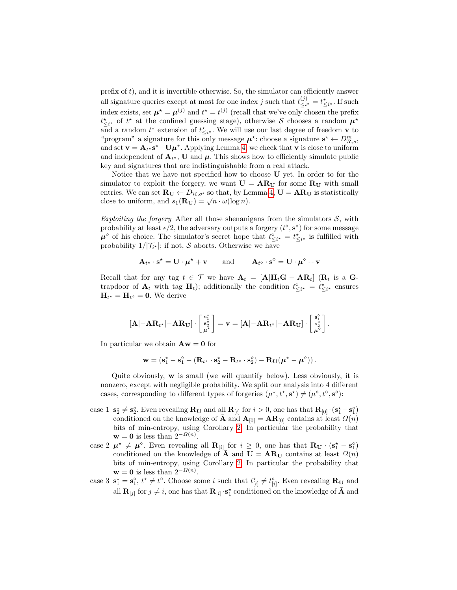prefix of  $t$ ), and it is invertible otherwise. So, the simulator can efficiently answer all signature queries except at most for one index j such that  $t_{\leq i}^{(j)}$  $\frac{\binom{j}{i}}{\leq i^*} = t^*_{\leq i^*}$ . If such index exists, set  $\mu^* = \mu^{(j)}$  and  $t^* = t^{(j)}$  (recall that we've only chosen the prefix  $t^*_{\leq i^*}$  of  $t^*$  at the confined guessing stage), otherwise S chooses a random  $\mu^*$ and a random  $t^*$  extension of  $t^*_{\leq i^*}$ . We will use our last degree of freedom **v** to "program" a signature for this only message  $\mu^*$ : choose a signature  $s^* \leftarrow D^m_{\mathcal{R},s}$ , and set  $\mathbf{v} = \mathbf{A}_{t^*} \mathbf{s}^* - \mathbf{U} \boldsymbol{\mu}^*$ . Applying Lemma [4,](#page-7-0) we check that  $\mathbf{v}$  is close to uniform and independent of  $\mathbf{A}_{t^*}$ , U and  $\boldsymbol{\mu}$ . This shows how to efficiently simulate public key and signatures that are indistinguishable from a real attack.

Notice that we have not specified how to choose U yet. In order to for the simulator to exploit the forgery, we want  $U = AR<sub>U</sub>$  for some  $R<sub>U</sub>$  with small entries. We can set  $\mathbf{R_U} \leftarrow D_{\mathcal{R}, \sigma'}$  so that, by Lemma [4,](#page-7-0)  $\mathbf{U} = \mathbf{A} \mathbf{R_U}$  is statistically entries. we can set  $\mathbf{R_U} \leftarrow D_{\mathcal{R}, \sigma'}$  so that, by Le<br>close to uniform, and  $s_1(\mathbf{R_U}) = \sqrt{n} \cdot \omega(\log n)$ .

Exploiting the forgery After all those shenanigans from the simulators  $S$ , with probability at least  $\epsilon/2$ , the adversary outputs a forgery  $(t^{\diamond}, \mathbf{s}^{\diamond})$  for some message  $\mu^{\diamond}$  of his choice. The simulator's secret hope that  $t_{\leq i^*}^{\diamond} = t_{\leq i^*}^{\star}$  is fulfilled with probability  $1/|\mathcal{T}_{i^*}|$ ; if not, S aborts. Otherwise we have

$$
\mathbf{A}_{t^{\star}} \cdot \mathbf{s}^{\star} = \mathbf{U} \cdot \boldsymbol{\mu}^{\star} + \mathbf{v} \quad \text{and} \quad \mathbf{A}_{t^{\diamond}} \cdot \mathbf{s}^{\diamond} = \mathbf{U} \cdot \boldsymbol{\mu}^{\diamond} + \mathbf{v}
$$

Recall that for any tag  $t \in \mathcal{T}$  we have  $\mathbf{A}_t = [\mathbf{A} | \mathbf{H}_t \mathbf{G} - \mathbf{A} \mathbf{R}_t]$  ( $\mathbf{R}_t$  is a  $\mathbf{G}$ trapdoor of  $\mathbf{A}_t$  with tag  $\mathbf{H}_t$ ); additionally the condition  $t^{\diamond}_{\leq i^*} = t^*_{\leq i^*}$  ensures  $H_{t^*} = H_{t^{\diamond}} = 0$ . We derive

$$
[\mathbf{A} | - \mathbf{A} \mathbf{R}_{t^\star} | - \mathbf{A} \mathbf{R}_{\mathbf{U}}] \cdot \left[\begin{smallmatrix} \mathbf{s}_1^\star \\ \mathbf{s}_2^\star \\ \boldsymbol{\mu}^\star \end{smallmatrix}\right] = \mathbf{v} = [\mathbf{A} | - \mathbf{A} \mathbf{R}_{t^\diamond} | - \mathbf{A} \mathbf{R}_{\mathbf{U}}] \cdot \left[\begin{smallmatrix} \mathbf{s}_1^\diamond \\ \mathbf{s}_2^\diamond \\ \boldsymbol{\mu}^\diamond \end{smallmatrix}\right].
$$

In particular we obtain  $\mathbf{A}\mathbf{w} = \mathbf{0}$  for

$$
\mathbf{w} = (\mathbf{s}_1^{\star} - \mathbf{s}_1^{\diamond} - (\mathbf{R}_{t^{\star}} \cdot \mathbf{s}_2^{\star} - \mathbf{R}_{t^{\diamond}} \cdot \mathbf{s}_2^{\diamond}) - \mathbf{R}_{\mathbf{U}}(\boldsymbol{\mu}^{\star} - \boldsymbol{\mu}^{\diamond})).
$$

Quite obviously, w is small (we will quantify below). Less obviously, it is nonzero, except with negligible probability. We split our analysis into 4 different cases, corresponding to different types of forgeries  $(\mu^*, t^*, s^*) \neq (\mu^{\diamond}, t^{\diamond}, s^{\diamond})$ :

- case 1  $\mathbf{s}_2^* \neq \mathbf{s}_2^{\circ}$ . Even revealing  $\mathbf{R}_{\mathbf{U}}$  and all  $\mathbf{R}_{[i]}$  for  $i > 0$ , one has that  $\mathbf{R}_{[0]} \cdot (\mathbf{s}_1^* \mathbf{s}_1^{\circ})$ conditioned on the knowledge of **A** and  $A_{[0]} = AR_{[0]}$  contains at least  $\Omega(n)$ bits of min-entropy, using Corollary [2.](#page-7-2) In particular the probability that  $\mathbf{w} = \mathbf{0}$  is less than  $2^{-\Omega(n)}$ .
- case 2  $\mu^* \neq \mu^{\circ}$ . Even revealing all  $\mathbf{R}_{[i]}$  for  $i \geq 0$ , one has that  $\mathbf{R}_{\mathbf{U}} \cdot (\mathbf{s}_1^* \mathbf{s}_1^{\circ})$ conditioned on the knowledge of  $\bar{\mathbf{A}}$  and  $\mathbf{U} = \mathbf{A} \mathbf{R}_{\mathbf{U}}$  contains at least  $\Omega(n)$ bits of min-entropy, using Corollary [2.](#page-7-2) In particular the probability that  $\mathbf{w} = \mathbf{0}$  is less than  $2^{-\Omega(n)}$ .
- case 3  $\mathbf{s}_1^* = \mathbf{s}_1^{\diamond}$ ,  $t^* \neq t^{\diamond}$ . Choose some i such that  $t_{[i]}^* \neq t_{[i]}^{\diamond}$ . Even revealing  $\mathbf{R_U}$  and all  $\mathbf{R}_{[i]}$  for  $j \neq i$ , one has that  $\mathbf{R}_{[i]} \cdot \mathbf{s}_1^*$  conditioned on the knowledge of  $\bar{\mathbf{A}}$  and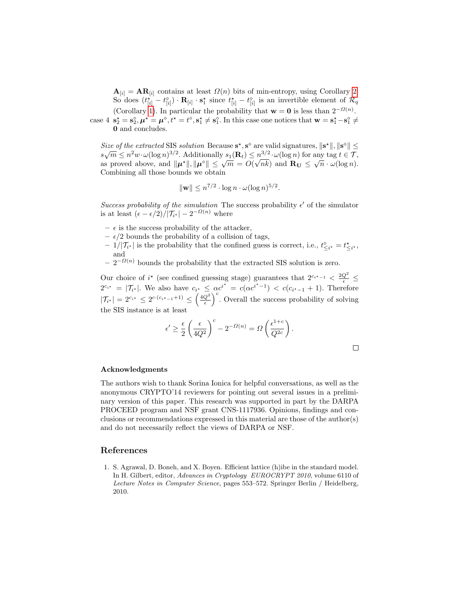$\mathbf{A}_{[i]} = \mathbf{A} \mathbf{R}_{[i]}$  contains at least  $\Omega(n)$  bits of min-entropy, using Corollary [2.](#page-7-2) So does  $(t_{[i]}^{\star} - t_{[i]}^{\diamond}) \cdot \mathbf{R}_{[i]} \cdot \mathbf{s}_1^{\star}$  since  $t_{[i]}^{\star} - t_{[i]}^{\diamond}$  is an invertible element of  $\mathcal{R}_q$ (Corollary [1\)](#page-6-1). In particular the probability that  $\mathbf{w} = \mathbf{0}$  is less than  $2^{-\Omega(n)}$ . case 4  $\mathbf{s}_2^* = \mathbf{s}_2^{\diamond}, \boldsymbol{\mu}^* = \boldsymbol{\mu}^{\diamond}, t^* = t^{\diamond}, \mathbf{s}_1^* \neq \mathbf{s}_1^{\diamond}$ . In this case one notices that  $\mathbf{w} = \mathbf{s}_1^* - \mathbf{s}_1^{\diamond} \neq 0$ 0 and concludes.

Size of the extracted SIS solution Because  $s^*$ ,  $s^{\diamond}$  are valid signatures,  $\|s^*\|$ ,  $\|s^{\diamond}\| \le$ Size of the extracted SIS solution Because **S**, **S** are valid signatures,  $||\mathbf{s}||, ||\mathbf{s}|| \le$ <br> $s\sqrt{m} \le n^2w \cdot \omega(\log n)^{3/2}$ . Additionally  $s_1(\mathbf{R}_t) \le n^{3/2} \cdot \omega(\log n)$  for any tag  $t \in \mathcal{T}$ ,  $\mathbb{E} \{ \mathcal{L} \mid \mathcal{L} \in \mathbb{R}^n : \mathcal{L}(\log n) \leq \mathcal{L} \}$  and  $\mathbb{E} \{ \mathbf{L} \mathbf{L} \mathbf{L} \leq \sqrt{m} \}$  and  $\mathbf{R} \mathbf{U} \leq \sqrt{n} \cdot \mathcal{L}(\log n)$ . Combining all those bounds we obtain

$$
\|\mathbf{w}\| \le n^{7/2} \cdot \log n \cdot \omega(\log n)^{5/2}.
$$

Success probability of the simulation The success probability  $\epsilon'$  of the simulator is at least  $(\epsilon - \epsilon/2)/|\mathcal{T}_{i^*}| - 2^{-\Omega(n)}$  where

- $\epsilon$  is the success probability of the attacker,
- $\epsilon/2$  bounds the probability of a collision of tags,
- $-1/|\mathcal{T}_{i^*}|$  is the probability that the confined guess is correct, i.e.,  $t^{\diamond}_{\leq i^*} = t^*_{\leq i^*}$ , and
- $-2^{-\Omega(n)}$  bounds the probability that the extracted SIS solution is zero.

Our choice of  $i^*$  (see confined guessing stage) guarantees that  $2^{c_i^*-1} < \frac{2Q^2}{\epsilon} \le$  $2^{c_{i^*}} = |\mathcal{T}_{i^*}|$ . We also have  $c_{i^*} \leq \alpha c^{i^*} = c(\alpha c^{i^*-1}) < c(c_{i^*-1}+1)$ . Therefore  $|\mathcal{T}_{i^*}| = 2^{c_{i^*}} \leq 2^{c \cdot (c_{i^*-1}+1)} \leq \left(\frac{4Q^2}{\epsilon}\right)^c$ . Overall the success probability of solving the SIS instance is at least

$$
\epsilon' \ge \frac{\epsilon}{2} \left( \frac{\epsilon}{4Q^2} \right)^c - 2^{-\Omega(n)} = \Omega \left( \frac{\epsilon^{1+c}}{Q^{2c}} \right).
$$

### Acknowledgments

The authors wish to thank Sorina Ionica for helpful conversations, as well as the anonymous CRYPTO'14 reviewers for pointing out several issues in a preliminary version of this paper. This research was supported in part by the DARPA PROCEED program and NSF grant CNS-1117936. Opinions, findings and conclusions or recommendations expressed in this material are those of the author(s) and do not necessarily reflect the views of DARPA or NSF.

### References

<span id="page-13-0"></span>1. S. Agrawal, D. Boneh, and X. Boyen. Efficient lattice (h)ibe in the standard model. In H. Gilbert, editor, Advances in Cryptology EUROCRYPT 2010, volume 6110 of Lecture Notes in Computer Science, pages 553–572. Springer Berlin / Heidelberg, 2010.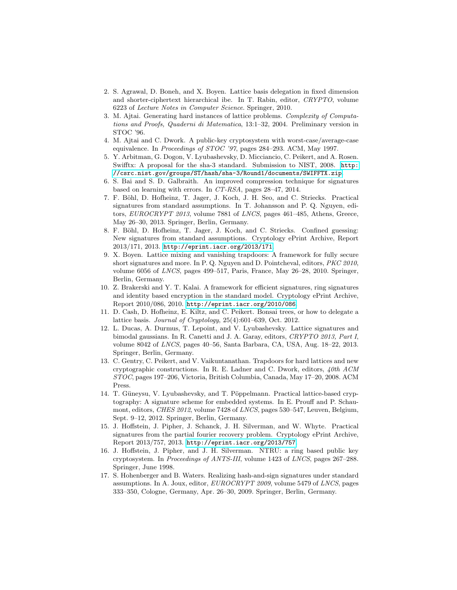- <span id="page-14-10"></span>2. S. Agrawal, D. Boneh, and X. Boyen. Lattice basis delegation in fixed dimension and shorter-ciphertext hierarchical ibe. In T. Rabin, editor, CRYPTO, volume 6223 of Lecture Notes in Computer Science. Springer, 2010.
- <span id="page-14-0"></span>3. M. Ajtai. Generating hard instances of lattice problems. Complexity of Computations and Proofs, Quaderni di Matematica, 13:1–32, 2004. Preliminary version in STOC '96.
- <span id="page-14-1"></span>4. M. Ajtai and C. Dwork. A public-key cryptosystem with worst-case/average-case equivalence. In Proceedings of STOC '97, pages 284–293. ACM, May 1997.
- <span id="page-14-13"></span>5. Y. Arbitman, G. Dogon, V. Lyubashevsky, D. Micciancio, C. Peikert, and A. Rosen. Swifftx: A proposal for the sha-3 standard. Submission to NIST, 2008. [http:](http://csrc.nist.gov/groups/ST/hash/sha-3/Round1/documents/SWIFFTX.zip) [//csrc.nist.gov/groups/ST/hash/sha-3/Round1/documents/SWIFFTX.zip](http://csrc.nist.gov/groups/ST/hash/sha-3/Round1/documents/SWIFFTX.zip).
- <span id="page-14-7"></span>6. S. Bai and S. D. Galbraith. An improved compression technique for signatures based on learning with errors. In CT-RSA, pages 28–47, 2014.
- <span id="page-14-11"></span>7. F. B¨ohl, D. Hofheinz, T. Jager, J. Koch, J. H. Seo, and C. Striecks. Practical signatures from standard assumptions. In T. Johansson and P. Q. Nguyen, editors, EUROCRYPT 2013, volume 7881 of LNCS, pages 461–485, Athens, Greece, May 26–30, 2013. Springer, Berlin, Germany.
- <span id="page-14-12"></span>8. F. Böhl, D. Hofheinz, T. Jager, J. Koch, and C. Striecks. Confined guessing: New signatures from standard assumptions. Cryptology ePrint Archive, Report 2013/171, 2013. <http://eprint.iacr.org/2013/171>.
- <span id="page-14-4"></span>9. X. Boyen. Lattice mixing and vanishing trapdoors: A framework for fully secure short signatures and more. In P. Q. Nguyen and D. Pointcheval, editors, PKC 2010, volume 6056 of LNCS, pages 499–517, Paris, France, May 26–28, 2010. Springer, Berlin, Germany.
- <span id="page-14-15"></span>10. Z. Brakerski and Y. T. Kalai. A framework for efficient signatures, ring signatures and identity based encryption in the standard model. Cryptology ePrint Archive, Report 2010/086, 2010. <http://eprint.iacr.org/2010/086>.
- <span id="page-14-9"></span>11. D. Cash, D. Hofheinz, E. Kiltz, and C. Peikert. Bonsai trees, or how to delegate a lattice basis. Journal of Cryptology, 25(4):601–639, Oct. 2012.
- <span id="page-14-6"></span>12. L. Ducas, A. Durmus, T. Lepoint, and V. Lyubashevsky. Lattice signatures and bimodal gaussians. In R. Canetti and J. A. Garay, editors, CRYPTO 2013, Part I, volume 8042 of LNCS, pages 40–56, Santa Barbara, CA, USA, Aug. 18–22, 2013. Springer, Berlin, Germany.
- <span id="page-14-3"></span>13. C. Gentry, C. Peikert, and V. Vaikuntanathan. Trapdoors for hard lattices and new cryptographic constructions. In R. E. Ladner and C. Dwork, editors, 40th ACM STOC, pages 197–206, Victoria, British Columbia, Canada, May 17–20, 2008. ACM Press.
- <span id="page-14-5"></span>14. T. Güneysu, V. Lyubashevsky, and T. Pöppelmann. Practical lattice-based cryptography: A signature scheme for embedded systems. In E. Prouff and P. Schaumont, editors, CHES 2012, volume 7428 of LNCS, pages 530–547, Leuven, Belgium, Sept. 9–12, 2012. Springer, Berlin, Germany.
- <span id="page-14-8"></span>15. J. Hoffstein, J. Pipher, J. Schanck, J. H. Silverman, and W. Whyte. Practical signatures from the partial fourier recovery problem. Cryptology ePrint Archive, Report 2013/757, 2013. <http://eprint.iacr.org/2013/757>.
- <span id="page-14-2"></span>16. J. Hoffstein, J. Pipher, and J. H. Silverman. NTRU: a ring based public key cryptosystem. In Proceedings of ANTS-III, volume 1423 of LNCS, pages 267–288. Springer, June 1998.
- <span id="page-14-14"></span>17. S. Hohenberger and B. Waters. Realizing hash-and-sign signatures under standard assumptions. In A. Joux, editor, EUROCRYPT 2009, volume 5479 of LNCS, pages 333–350, Cologne, Germany, Apr. 26–30, 2009. Springer, Berlin, Germany.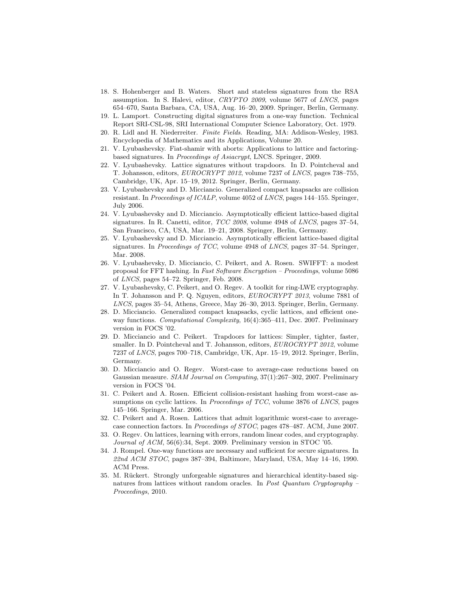- <span id="page-15-12"></span>18. S. Hohenberger and B. Waters. Short and stateless signatures from the RSA assumption. In S. Halevi, editor, CRYPTO 2009, volume 5677 of LNCS, pages 654–670, Santa Barbara, CA, USA, Aug. 16–20, 2009. Springer, Berlin, Germany.
- <span id="page-15-7"></span>19. L. Lamport. Constructing digital signatures from a one-way function. Technical Report SRI-CSL-98, SRI International Computer Science Laboratory, Oct. 1979.
- <span id="page-15-16"></span>20. R. Lidl and H. Niederreiter. Finite Fields. Reading, MA: Addison-Wesley, 1983. Encyclopedia of Mathematics and its Applications, Volume 20.
- <span id="page-15-3"></span>21. V. Lyubashevsky. Fiat-shamir with aborts: Applications to lattice and factoringbased signatures. In Proceedings of Asiacrypt, LNCS. Springer, 2009.
- <span id="page-15-5"></span>22. V. Lyubashevsky. Lattice signatures without trapdoors. In D. Pointcheval and T. Johansson, editors, EUROCRYPT 2012, volume 7237 of LNCS, pages 738–755, Cambridge, UK, Apr. 15–19, 2012. Springer, Berlin, Germany.
- <span id="page-15-10"></span>23. V. Lyubashevsky and D. Micciancio. Generalized compact knapsacks are collision resistant. In Proceedings of ICALP, volume 4052 of LNCS, pages 144–155. Springer, July 2006.
- <span id="page-15-2"></span>24. V. Lyubashevsky and D. Micciancio. Asymptotically efficient lattice-based digital signatures. In R. Canetti, editor, TCC 2008, volume 4948 of LNCS, pages 37–54, San Francisco, CA, USA, Mar. 19–21, 2008. Springer, Berlin, Germany.
- <span id="page-15-13"></span>25. V. Lyubashevsky and D. Micciancio. Asymptotically efficient lattice-based digital signatures. In Proceedings of TCC, volume 4948 of LNCS, pages 37–54. Springer, Mar. 2008.
- <span id="page-15-9"></span>26. V. Lyubashevsky, D. Micciancio, C. Peikert, and A. Rosen. SWIFFT: a modest proposal for FFT hashing. In Fast Software Encryption – Proceedings, volume 5086 of LNCS, pages 54–72. Springer, Feb. 2008.
- <span id="page-15-17"></span>27. V. Lyubashevsky, C. Peikert, and O. Regev. A toolkit for ring-LWE cryptography. In T. Johansson and P. Q. Nguyen, editors, EUROCRYPT 2013, volume 7881 of LNCS, pages 35–54, Athens, Greece, May 26–30, 2013. Springer, Berlin, Germany.
- <span id="page-15-0"></span>28. D. Micciancio. Generalized compact knapsacks, cyclic lattices, and efficient oneway functions. Computational Complexity, 16(4):365-411, Dec. 2007. Preliminary version in FOCS '02.
- <span id="page-15-8"></span>29. D. Micciancio and C. Peikert. Trapdoors for lattices: Simpler, tighter, faster, smaller. In D. Pointcheval and T. Johansson, editors, EUROCRYPT 2012, volume 7237 of LNCS, pages 700–718, Cambridge, UK, Apr. 15–19, 2012. Springer, Berlin, Germany.
- <span id="page-15-14"></span>30. D. Micciancio and O. Regev. Worst-case to average-case reductions based on Gaussian measure. SIAM Journal on Computing, 37(1):267–302, 2007. Preliminary version in FOCS '04.
- <span id="page-15-11"></span>31. C. Peikert and A. Rosen. Efficient collision-resistant hashing from worst-case assumptions on cyclic lattices. In *Proceedings of TCC*, volume 3876 of *LNCS*, pages 145–166. Springer, Mar. 2006.
- <span id="page-15-15"></span>32. C. Peikert and A. Rosen. Lattices that admit logarithmic worst-case to averagecase connection factors. In Proceedings of STOC, pages 478–487. ACM, June 2007.
- <span id="page-15-1"></span>33. O. Regev. On lattices, learning with errors, random linear codes, and cryptography. Journal of ACM, 56(6):34, Sept. 2009. Preliminary version in STOC '05.
- <span id="page-15-6"></span>34. J. Rompel. One-way functions are necessary and sufficient for secure signatures. In 22nd ACM STOC, pages 387–394, Baltimore, Maryland, USA, May 14–16, 1990. ACM Press.
- <span id="page-15-4"></span>35. M. Rückert. Strongly unforgeable signatures and hierarchical identity-based signatures from lattices without random oracles. In Post Quantum Cryptography Proceedings, 2010.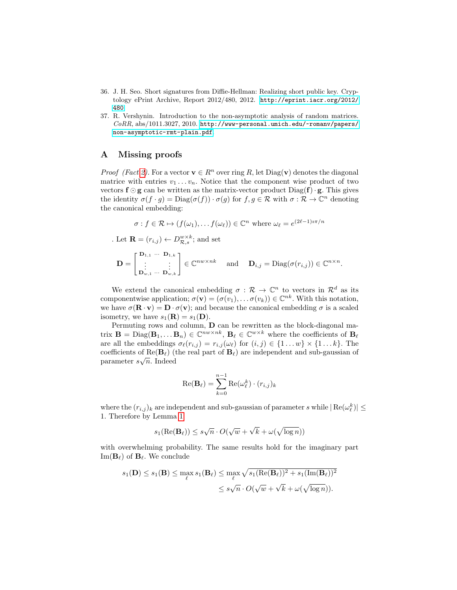- <span id="page-16-0"></span>36. J. H. Seo. Short signatures from Diffie-Hellman: Realizing short public key. Cryptology ePrint Archive, Report 2012/480, 2012. [http://eprint.iacr.org/2012/](http://eprint.iacr.org/2012/480) [480](http://eprint.iacr.org/2012/480).
- <span id="page-16-1"></span>37. R. Vershynin. Introduction to the non-asymptotic analysis of random matrices.  $CoRR$ , abs/1011.3027, 2010. [http://www-personal.umich.edu/~romanv/papers/](http://www-personal.umich.edu/~romanv/papers/non-asymptotic-rmt-plain.pdf) [non-asymptotic-rmt-plain.pdf](http://www-personal.umich.edu/~romanv/papers/non-asymptotic-rmt-plain.pdf).

# <span id="page-16-2"></span>A Missing proofs

*Proof (Fact [2\)](#page-7-1)*. For a vector  $\mathbf{v} \in R^n$  over ring R, let Diag( $\mathbf{v}$ ) denotes the diagonal matrice with entries  $v_1 \ldots v_n$ . Notice that the component wise product of two vectors  $f \odot g$  can be written as the matrix-vector product  $Diag(f) \cdot g$ . This gives the identity  $\sigma(f \cdot g) = \text{Diag}(\sigma(f)) \cdot \sigma(g)$  for  $f, g \in \mathcal{R}$  with  $\sigma : \mathcal{R} \to \mathbb{C}^n$  denoting the canonical embedding:

$$
\sigma: f \in \mathcal{R} \mapsto (f(\omega_1), \dots, f(\omega_\ell)) \in \mathbb{C}^n
$$
 where  $\omega_\ell = e^{(2\ell-1)i\pi/n}$ 

. Let  $\mathbf{R} = (r_{i,j}) \leftarrow D_{\mathcal{R},s}^{w \times k}$ ; and set

 $\mathbf{D} =$  $\begin{bmatrix} \mathbf{D}_{1,1} & \cdots & \mathbf{D}_{1,k} \\ \vdots & & \vdots \\ \mathbf{D}_{w,1} & \cdots & \mathbf{D}_{w,k} \end{bmatrix} \in \mathbb{C}^{nw \times nk}$  and  $\mathbf{D}_{i,j} = \text{Diag}(\sigma(r_{i,j})) \in \mathbb{C}^{n \times n}$ .

We extend the canonical embedding  $\sigma : \mathcal{R} \to \mathbb{C}^n$  to vectors in  $\mathcal{R}^d$  as its componentwise application;  $\sigma(\mathbf{v}) = (\sigma(v_1), \dots \sigma(v_k)) \in \mathbb{C}^{nk}$ . With this notation, we have  $\sigma(\mathbf{R} \cdot \mathbf{v}) = \mathbf{D} \cdot \sigma(\mathbf{v})$ ; and because the canonical embedding  $\sigma$  is a scaled isometry, we have  $s_1(\mathbf{R}) = s_1(\mathbf{D})$ .

Permuting rows and column, D can be rewritten as the block-diagonal matrix  $\mathbf{B} = \text{Diag}(\mathbf{B}_1, \dots \mathbf{B}_n) \in \mathbb{C}^{nw \times nk}$ ,  $\mathbf{B}_{\ell} \in \mathbb{C}^{w \times k}$  where the coefficients of  $\mathbf{B}_{\ell}$ are all the embeddings  $\sigma_{\ell}(r_{i,j}) = r_{i,j}(\omega_{\ell})$  for  $(i, j) \in \{1 \dots w\} \times \{1 \dots k\}$ . The coefficients of  $\text{Re}(\mathbf{B}_{\ell})$  (the real part of  $\mathbf{B}_{\ell}$ ) are independent and sub-gaussian of parameter  $s\sqrt{n}$ . Indeed

$$
\operatorname{Re}(\mathbf{B}_{\ell}) = \sum_{k=0}^{n-1} \operatorname{Re}(\omega_{\ell}^{k}) \cdot (r_{i,j})_{k}
$$

where the  $(r_{i,j})_k$  are independent and sub-gaussian of parameter s while  $|\text{Re}(\omega_{\ell}^k)| \leq$ 1. Therefore by Lemma [1](#page-5-0)

$$
s_1(\operatorname{Re}(\mathbf{B}_{\ell})) \le s\sqrt{n} \cdot O(\sqrt{w} + \sqrt{k} + \omega(\sqrt{\log n}))
$$

with overwhelming probability. The same results hold for the imaginary part Im( $\mathbf{B}_{\ell}$ ) of  $\mathbf{B}_{\ell}$ . We conclude

$$
s_1(\mathbf{D}) \le s_1(\mathbf{B}) \le \max_{\ell} s_1(\mathbf{B}_{\ell}) \le \max_{\ell} \sqrt{s_1(\text{Re}(\mathbf{B}_{\ell}))^2 + s_1(\text{Im}(\mathbf{B}_{\ell}))^2}
$$
  

$$
\le s\sqrt{n} \cdot O(\sqrt{w} + \sqrt{k} + \omega(\sqrt{\log n})).
$$